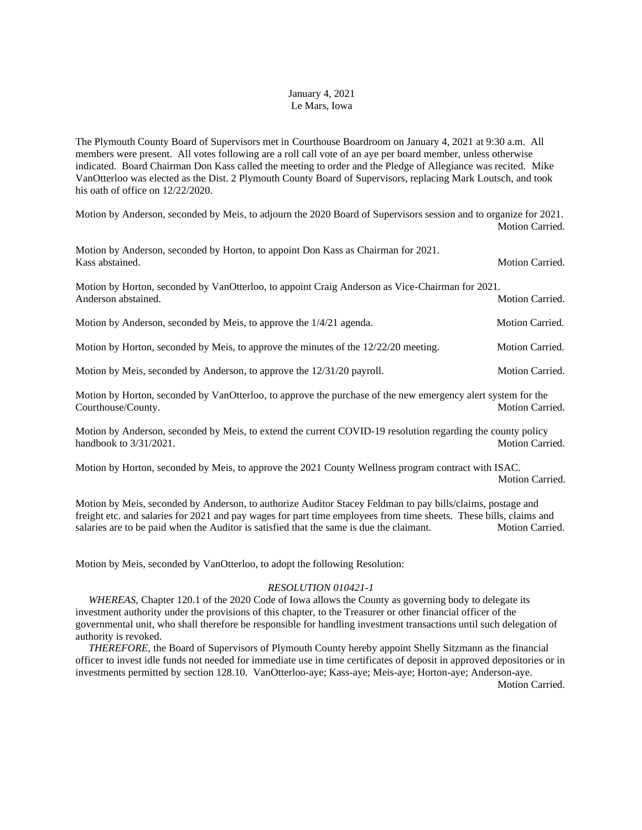## January 4, 2021 Le Mars, Iowa

The Plymouth County Board of Supervisors met in Courthouse Boardroom on January 4, 2021 at 9:30 a.m. All members were present. All votes following are a roll call vote of an aye per board member, unless otherwise indicated. Board Chairman Don Kass called the meeting to order and the Pledge of Allegiance was recited. Mike VanOtterloo was elected as the Dist. 2 Plymouth County Board of Supervisors, replacing Mark Loutsch, and took his oath of office on 12/22/2020.

Motion by Anderson, seconded by Meis, to adjourn the 2020 Board of Supervisors session and to organize for 2021. Motion Carried.

| Motion by Anderson, seconded by Horton, to appoint Don Kass as Chairman for 2021.<br>Kass abstained.                   | Motion Carried.        |
|------------------------------------------------------------------------------------------------------------------------|------------------------|
| Motion by Horton, seconded by VanOtterloo, to appoint Craig Anderson as Vice-Chairman for 2021.<br>Anderson abstained. | <b>Motion Carried.</b> |
| Motion by Anderson, seconded by Meis, to approve the 1/4/21 agenda.                                                    | <b>Motion Carried.</b> |
| Motion by Horton, seconded by Meis, to approve the minutes of the $12/22/20$ meeting.                                  | <b>Motion Carried.</b> |
| Motion by Meis, seconded by Anderson, to approve the 12/31/20 payroll.                                                 | <b>Motion Carried.</b> |
| Motion by Horton, seconded by VanOtterloo, to approve the purchase of the new emergency alert system for the           |                        |

Courthouse/County. Motion Carried. Motion Carried.

Motion by Anderson, seconded by Meis, to extend the current COVID-19 resolution regarding the county policy handbook to  $3/31/2021$ . Motion Carried.

Motion by Horton, seconded by Meis, to approve the 2021 County Wellness program contract with ISAC. Motion Carried.

Motion by Meis, seconded by Anderson, to authorize Auditor Stacey Feldman to pay bills/claims, postage and freight etc. and salaries for 2021 and pay wages for part time employees from time sheets. These bills, claims and salaries are to be paid when the Auditor is satisfied that the same is due the claimant. Motion Carried.

Motion by Meis, seconded by VanOtterloo, to adopt the following Resolution:

## *RESOLUTION 010421-1*

*WHEREAS*, Chapter 120.1 of the 2020 Code of Iowa allows the County as governing body to delegate its investment authority under the provisions of this chapter, to the Treasurer or other financial officer of the governmental unit, who shall therefore be responsible for handling investment transactions until such delegation of authority is revoked.

 *THEREFORE,* the Board of Supervisors of Plymouth County hereby appoint Shelly Sitzmann as the financial officer to invest idle funds not needed for immediate use in time certificates of deposit in approved depositories or in investments permitted by section 128.10. VanOtterloo-aye; Kass-aye; Meis-aye; Horton-aye; Anderson-aye. Motion Carried.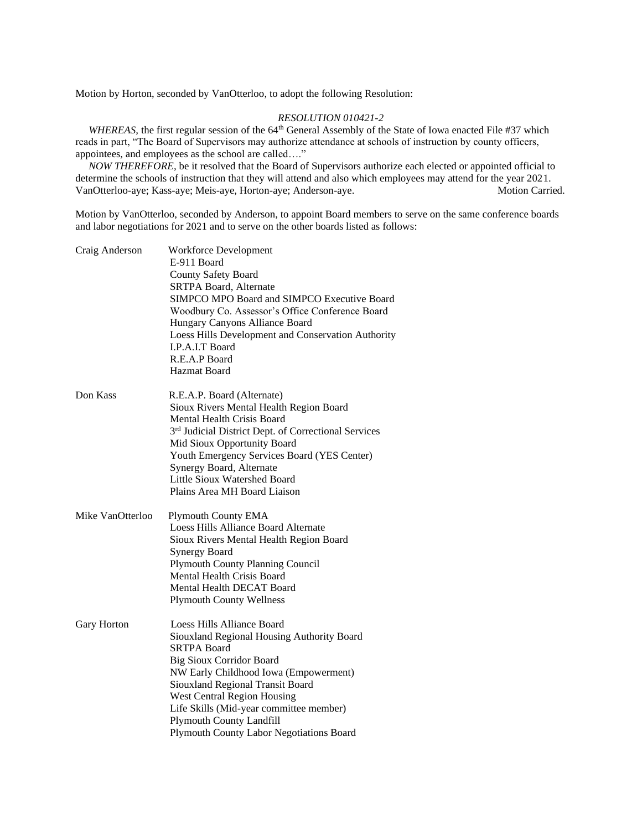Motion by Horton, seconded by VanOtterloo, to adopt the following Resolution:

## *RESOLUTION 010421-2*

*WHEREAS*, the first regular session of the 64<sup>th</sup> General Assembly of the State of Iowa enacted File #37 which reads in part, "The Board of Supervisors may authorize attendance at schools of instruction by county officers, appointees, and employees as the school are called…."

 *NOW THEREFORE,* be it resolved that the Board of Supervisors authorize each elected or appointed official to determine the schools of instruction that they will attend and also which employees may attend for the year 2021. VanOtterloo-aye; Kass-aye; Meis-aye, Horton-aye; Anderson-aye. Motion Carried.

Motion by VanOtterloo, seconded by Anderson, to appoint Board members to serve on the same conference boards and labor negotiations for 2021 and to serve on the other boards listed as follows:

| Craig Anderson   | Workforce Development<br>E-911 Board<br><b>County Safety Board</b><br>SRTPA Board, Alternate<br>SIMPCO MPO Board and SIMPCO Executive Board<br>Woodbury Co. Assessor's Office Conference Board<br>Hungary Canyons Alliance Board<br>Loess Hills Development and Conservation Authority<br>I.P.A.I.T Board<br>R.E.A.P Board<br>Hazmat Board                                            |
|------------------|---------------------------------------------------------------------------------------------------------------------------------------------------------------------------------------------------------------------------------------------------------------------------------------------------------------------------------------------------------------------------------------|
| Don Kass         | R.E.A.P. Board (Alternate)<br>Sioux Rivers Mental Health Region Board<br>Mental Health Crisis Board<br>3 <sup>rd</sup> Judicial District Dept. of Correctional Services<br>Mid Sioux Opportunity Board<br>Youth Emergency Services Board (YES Center)<br>Synergy Board, Alternate<br>Little Sioux Watershed Board<br>Plains Area MH Board Liaison                                     |
| Mike VanOtterloo | <b>Plymouth County EMA</b><br>Loess Hills Alliance Board Alternate<br>Sioux Rivers Mental Health Region Board<br><b>Synergy Board</b><br><b>Plymouth County Planning Council</b><br><b>Mental Health Crisis Board</b><br>Mental Health DECAT Board<br><b>Plymouth County Wellness</b>                                                                                                 |
| Gary Horton      | Loess Hills Alliance Board<br>Siouxland Regional Housing Authority Board<br><b>SRTPA Board</b><br><b>Big Sioux Corridor Board</b><br>NW Early Childhood Iowa (Empowerment)<br>Siouxland Regional Transit Board<br><b>West Central Region Housing</b><br>Life Skills (Mid-year committee member)<br><b>Plymouth County Landfill</b><br><b>Plymouth County Labor Negotiations Board</b> |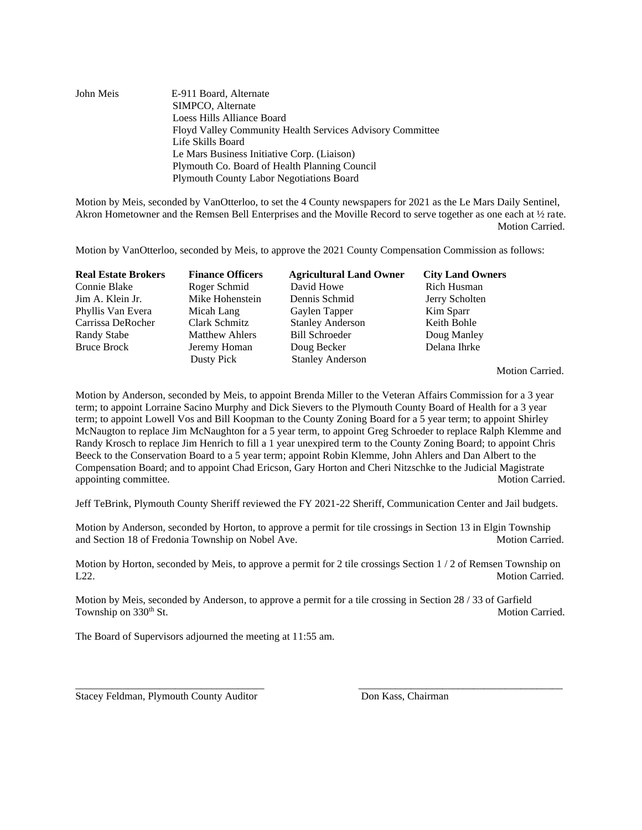| John Meis | E-911 Board, Alternate                                    |
|-----------|-----------------------------------------------------------|
|           | SIMPCO, Alternate                                         |
|           | Loess Hills Alliance Board                                |
|           | Floyd Valley Community Health Services Advisory Committee |
|           | Life Skills Board                                         |
|           | Le Mars Business Initiative Corp. (Liaison)               |
|           | Plymouth Co. Board of Health Planning Council             |
|           | <b>Plymouth County Labor Negotiations Board</b>           |

Motion by Meis, seconded by VanOtterloo, to set the 4 County newspapers for 2021 as the Le Mars Daily Sentinel, Akron Hometowner and the Remsen Bell Enterprises and the Moville Record to serve together as one each at ½ rate. Motion Carried.

Motion by VanOtterloo, seconded by Meis, to approve the 2021 County Compensation Commission as follows:

| <b>Real Estate Brokers</b> | <b>Finance Officers</b> | <b>Agricultural Land Owner</b> | <b>City Land Owners</b> |
|----------------------------|-------------------------|--------------------------------|-------------------------|
| Connie Blake               | Roger Schmid            | David Howe                     | Rich Husman             |
| Jim A. Klein Jr.           | Mike Hohenstein         | Dennis Schmid                  | Jerry Scholten          |
| Phyllis Van Evera          | Micah Lang              | Gaylen Tapper                  | Kim Sparr               |
| Carrissa DeRocher          | Clark Schmitz           | <b>Stanley Anderson</b>        | Keith Bohle             |
| Randy Stabe                | <b>Matthew Ahlers</b>   | <b>Bill Schroeder</b>          | Doug Manley             |
| <b>Bruce Brock</b>         | Jeremy Homan            | Doug Becker                    | Delana Ihrke            |
|                            | Dusty Pick              | <b>Stanley Anderson</b>        |                         |

Motion Carried.

Motion by Anderson, seconded by Meis, to appoint Brenda Miller to the Veteran Affairs Commission for a 3 year term; to appoint Lorraine Sacino Murphy and Dick Sievers to the Plymouth County Board of Health for a 3 year term; to appoint Lowell Vos and Bill Koopman to the County Zoning Board for a 5 year term; to appoint Shirley McNaugton to replace Jim McNaughton for a 5 year term, to appoint Greg Schroeder to replace Ralph Klemme and Randy Krosch to replace Jim Henrich to fill a 1 year unexpired term to the County Zoning Board; to appoint Chris Beeck to the Conservation Board to a 5 year term; appoint Robin Klemme, John Ahlers and Dan Albert to the Compensation Board; and to appoint Chad Ericson, Gary Horton and Cheri Nitzschke to the Judicial Magistrate appointing committee. Motion Carried. And the set of the set of the set of the set of the set of the set of the set of the set of the set of the set of the set of the set of the set of the set of the set of the set of the

Jeff TeBrink, Plymouth County Sheriff reviewed the FY 2021-22 Sheriff, Communication Center and Jail budgets.

Motion by Anderson, seconded by Horton, to approve a permit for tile crossings in Section 13 in Elgin Township and Section 18 of Fredonia Township on Nobel Ave. Motion Carried. Motion Carried.

Motion by Horton, seconded by Meis, to approve a permit for 2 tile crossings Section 1 / 2 of Remsen Township on L<sub>22</sub>. Motion Carried.

Motion by Meis, seconded by Anderson, to approve a permit for a tile crossing in Section 28 / 33 of Garfield Township on 330<sup>th</sup> St. Motion Carried.

\_\_\_\_\_\_\_\_\_\_\_\_\_\_\_\_\_\_\_\_\_\_\_\_\_\_\_\_\_\_\_\_\_\_\_\_ \_\_\_\_\_\_\_\_\_\_\_\_\_\_\_\_\_\_\_\_\_\_\_\_\_\_\_\_\_\_\_\_\_\_\_\_\_\_\_

The Board of Supervisors adjourned the meeting at 11:55 am.

Stacey Feldman, Plymouth County Auditor Don Kass, Chairman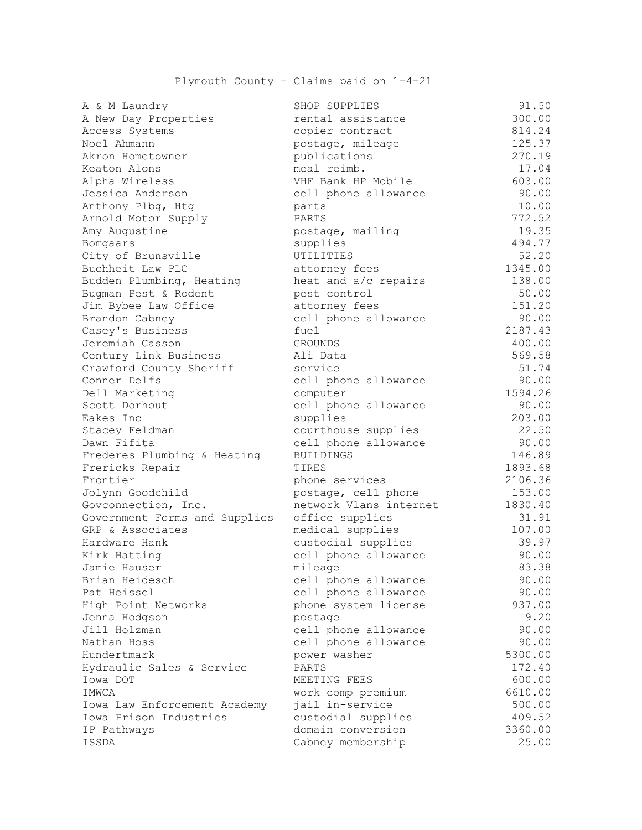## Plymouth County – Claims paid on 1-4-21

| A & M Laundry                 | SHOP SUPPLIES          | 91.50   |
|-------------------------------|------------------------|---------|
| A New Day Properties          | rental assistance      | 300.00  |
| Access Systems                | copier contract        | 814.24  |
| Noel Ahmann                   | postage, mileage       | 125.37  |
| Akron Hometowner              | publications           | 270.19  |
| Keaton Alons                  | meal reimb.            | 17.04   |
| Alpha Wireless                | VHF Bank HP Mobile     | 603.00  |
| Jessica Anderson              | cell phone allowance   | 90.00   |
| Anthony Plbg, Htg             | parts                  | 10.00   |
| Arnold Motor Supply           | PARTS                  | 772.52  |
| Amy Augustine                 | postage, mailing       | 19.35   |
| Bomgaars                      | supplies               | 494.77  |
| City of Brunsville            | UTILITIES              | 52.20   |
| Buchheit Law PLC              | attorney fees          | 1345.00 |
| Budden Plumbing, Heating      | heat and a/c repairs   | 138.00  |
| Bugman Pest & Rodent          | pest control           | 50.00   |
| Jim Bybee Law Office          | attorney fees          | 151.20  |
| Brandon Cabney                | cell phone allowance   | 90.00   |
| Casey's Business              | fuel                   | 2187.43 |
| Jeremiah Casson               | <b>GROUNDS</b>         | 400.00  |
| Century Link Business         | Ali Data               | 569.58  |
| Crawford County Sheriff       | service                | 51.74   |
| Conner Delfs                  | cell phone allowance   | 90.00   |
| Dell Marketing                | computer               | 1594.26 |
| Scott Dorhout                 | cell phone allowance   | 90.00   |
| Eakes Inc                     | supplies               | 203.00  |
| Stacey Feldman                | courthouse supplies    | 22.50   |
| Dawn Fifita                   | cell phone allowance   | 90.00   |
| Frederes Plumbing & Heating   | <b>BUILDINGS</b>       | 146.89  |
| Frericks Repair               | TIRES                  | 1893.68 |
| Frontier                      | phone services         | 2106.36 |
| Jolynn Goodchild              | postage, cell phone    | 153.00  |
| Govconnection, Inc.           | network Vlans internet | 1830.40 |
| Government Forms and Supplies | office supplies        | 31.91   |
| GRP & Associates              | medical supplies       | 107.00  |
| Hardware Hank                 | custodial supplies     | 39.97   |
| Kirk Hatting                  | cell phone allowance   | 90.00   |
| Jamie Hauser                  | mileage                | 83.38   |
| Brian Heidesch                | cell phone allowance   | 90.00   |
| Pat Heissel                   | cell phone allowance   | 90.00   |
| High Point Networks           | phone system license   | 937.00  |
| Jenna Hodgson                 | postage                | 9.20    |
| Jill Holzman                  | cell phone allowance   | 90.00   |
| Nathan Hoss                   | cell phone allowance   | 90.00   |
| Hundertmark                   | power washer           | 5300.00 |
| Hydraulic Sales & Service     | PARTS                  | 172.40  |
| Iowa DOT                      | MEETING FEES           | 600.00  |
| IMWCA                         | work comp premium      | 6610.00 |
| Iowa Law Enforcement Academy  | jail in-service        | 500.00  |
| Iowa Prison Industries        | custodial supplies     | 409.52  |
| IP Pathways                   | domain conversion      | 3360.00 |
| ISSDA                         | Cabney membership      | 25.00   |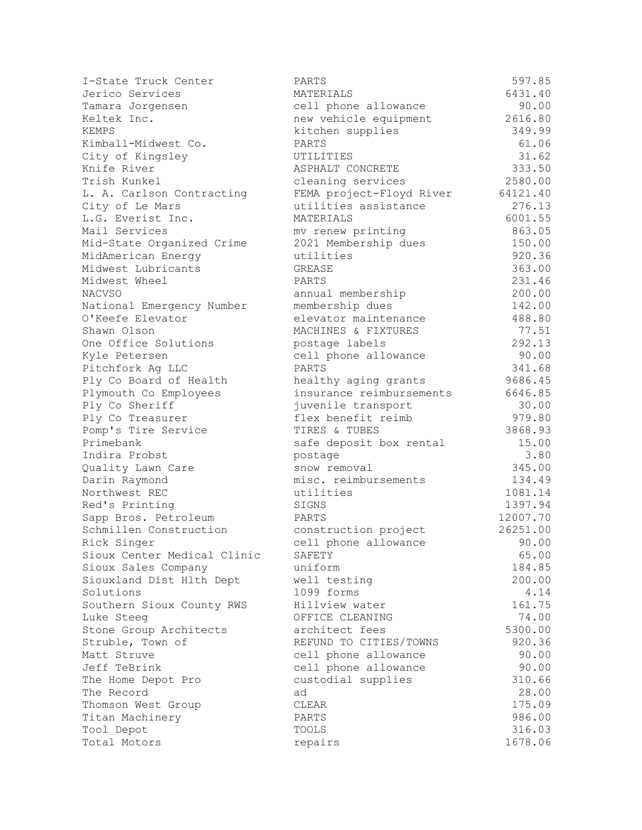| I-State Truck Center               | PARTS                    | 597.85        |
|------------------------------------|--------------------------|---------------|
| Jerico Services                    | MATERIALS                | 6431.40       |
| Tamara Jorgensen                   | cell phone allowance     | 90.00         |
| Keltek Inc.                        | new vehicle equipment    | 2616.80       |
| KEMPS                              | kitchen supplies         | 349.99        |
| Kimball-Midwest Co.                | PARTS                    | 61.06         |
| City of Kingsley                   | UTILITIES                | 31.62         |
| Knife River                        | ASPHALT CONCRETE         | 333.50        |
| Trish Kunkel                       | cleaning services        | 2580.00       |
| L. A. Carlson Contracting          | FEMA project-Floyd River | 64121.40      |
| City of Le Mars                    | utilities assistance     | 276.13        |
| L.G. Everist Inc.                  | MATERIALS                | 6001.55       |
| Mail Services                      | mv renew printing        | 863.05        |
| Mid-State Organized Crime          | 2021 Membership dues     | 150.00        |
| MidAmerican Energy                 | utilities                | 920.36        |
| Midwest Lubricants                 | GREASE                   | 363.00        |
| Midwest Wheel                      | PARTS                    | 231.46        |
| <b>NACVSO</b>                      | annual membership        | 200.00        |
| National Emergency Number          | membership dues          | 142.00        |
| O'Keefe Elevator                   | elevator maintenance     | 488.80        |
| Shawn Olson                        | MACHINES & FIXTURES      | 77.51         |
| One Office Solutions               | postage labels           | 292.13        |
| Kyle Petersen                      | cell phone allowance     | 90.00         |
| Pitchfork Ag LLC                   | PARTS                    | 341.68        |
| Ply Co Board of Health             | healthy aging grants     | 9686.45       |
| Plymouth Co Employees              | insurance reimbursements | 6646.85       |
| Ply Co Sheriff                     | juvenile transport       | 30.00         |
| Ply Co Treasurer                   | flex benefit reimb       | 979.80        |
| Pomp's Tire Service                | TIRES & TUBES            | 3868.93       |
| Primebank<br>Indira Probst         | safe deposit box rental  | 15.00<br>3.80 |
|                                    | postage<br>snow removal  | 345.00        |
| Quality Lawn Care<br>Darin Raymond | misc. reimbursements     | 134.49        |
| Northwest REC                      | utilities                | 1081.14       |
| Red's Printing                     | SIGNS                    | 1397.94       |
| Sapp Bros. Petroleum               | PARTS                    | 12007.70      |
| Schmillen Construction             | construction project     | 26251.00      |
| Rick Singer                        | cell phone allowance     | 90.00         |
| Sioux Center Medical Clinic        | SAFETY                   | 65.00         |
| Sioux Sales Company                | uniform                  | 184.85        |
| Siouxland Dist Hlth Dept           | well testing             | 200.00        |
| Solutions                          | 1099 forms               | 4.14          |
| Southern Sioux County RWS          | Hillview water           | 161.75        |
| Luke Steeg                         | OFFICE CLEANING          | 74.00         |
| Stone Group Architects             | architect fees           | 5300.00       |
| Struble, Town of                   | REFUND TO CITIES/TOWNS   | 920.36        |
| Matt Struve                        | cell phone allowance     | 90.00         |
| Jeff TeBrink                       | cell phone allowance     | 90.00         |
| The Home Depot Pro                 | custodial supplies       | 310.66        |
| The Record                         | ad                       | 28.00         |
| Thomson West Group                 | CLEAR                    | 175.09        |
| Titan Machinery                    | PARTS                    | 986.00        |
| Tool Depot                         | TOOLS                    | 316.03        |
| Total Motors                       | repairs                  | 1678.06       |
|                                    |                          |               |